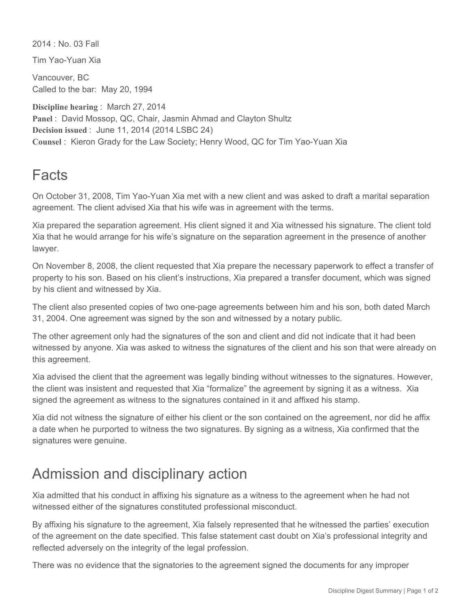2014 : No. 03 Fall

Tim Yao-Yuan Xia

Vancouver, BC Called to the bar: May 20, 1994

**Discipline hearing** : March 27, 2014 **Panel** : David Mossop, QC, Chair, Jasmin Ahmad and Clayton Shultz **Decision issued** : June 11, 2014 (2014 LSBC 24) **Counsel** : Kieron Grady for the Law Society; Henry Wood, QC for Tim Yao-Yuan Xia

## Facts

On October 31, 2008, Tim Yao-Yuan Xia met with a new client and was asked to draft a marital separation agreement. The client advised Xia that his wife was in agreement with the terms.

Xia prepared the separation agreement. His client signed it and Xia witnessed his signature. The client told Xia that he would arrange for his wife's signature on the separation agreement in the presence of another lawyer.

On November 8, 2008, the client requested that Xia prepare the necessary paperwork to effect a transfer of property to his son. Based on his client's instructions, Xia prepared a transfer document, which was signed by his client and witnessed by Xia.

The client also presented copies of two one-page agreements between him and his son, both dated March 31, 2004. One agreement was signed by the son and witnessed by a notary public.

The other agreement only had the signatures of the son and client and did not indicate that it had been witnessed by anyone. Xia was asked to witness the signatures of the client and his son that were already on this agreement.

Xia advised the client that the agreement was legally binding without witnesses to the signatures. However, the client was insistent and requested that Xia "formalize" the agreement by signing it as a witness. Xia signed the agreement as witness to the signatures contained in it and affixed his stamp.

Xia did not witness the signature of either his client or the son contained on the agreement, nor did he affix a date when he purported to witness the two signatures. By signing as a witness, Xia confirmed that the signatures were genuine.

## Admission and disciplinary action

Xia admitted that his conduct in affixing his signature as a witness to the agreement when he had not witnessed either of the signatures constituted professional misconduct.

By affixing his signature to the agreement, Xia falsely represented that he witnessed the parties' execution of the agreement on the date specified. This false statement cast doubt on Xia's professional integrity and reflected adversely on the integrity of the legal profession.

There was no evidence that the signatories to the agreement signed the documents for any improper